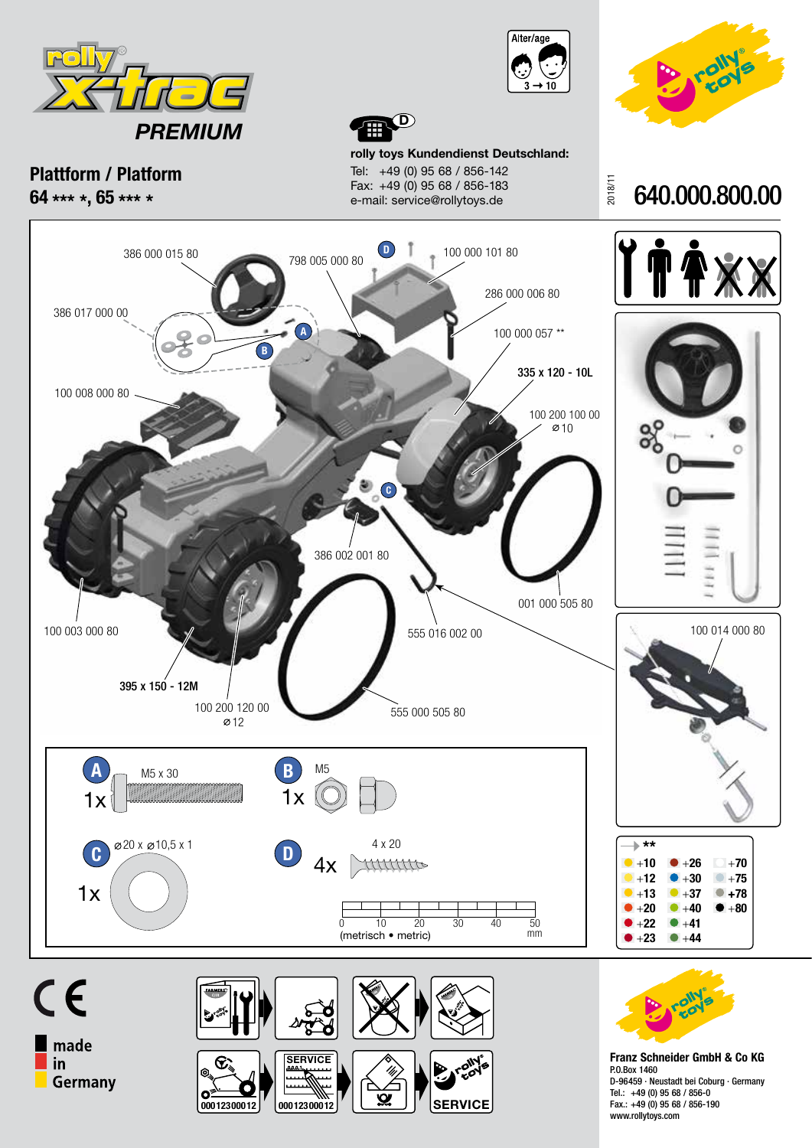





**Plattform / Platform 64 \*\*\* \*, 65 \*\*\* \***

**rolly toys Kundendienst Deutschland:** Tel: +49 (0) 95 68 / 856-142 Fax: +49 (0) 95 68 / 856-183 e-mail: service@rollytoys.de

**D**









**Franz Schneider GmbH & Co KG** P.O.Box 1460 D-96459 · Neustadt bei Coburg · Germany Tel.: +49 (0) 95 68 / 856-0 Fax.: +49 (0) 95 68 / 856-190 www.rollytoys.com